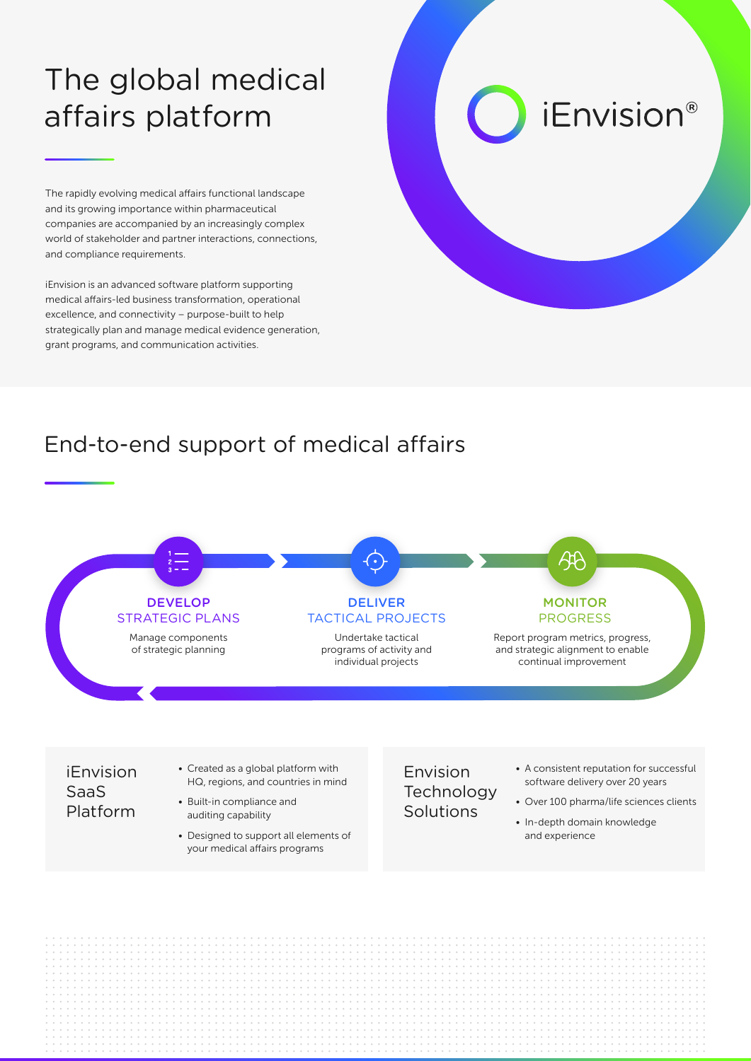## The global medical affairs platform

The rapidly evolving medical affairs functional landscape and its growing importance within pharmaceutical companies are accompanied by an increasingly complex world of stakeholder and partner interactions, connections, and compliance requirements.

iEnvision is an advanced software platform supporting medical affairs-led business transformation, operational excellence, and connectivity – purpose-built to help strategically plan and manage medical evidence generation, grant programs, and communication activities.

# *iEnvision®*

## End-to-end support of medical affairs